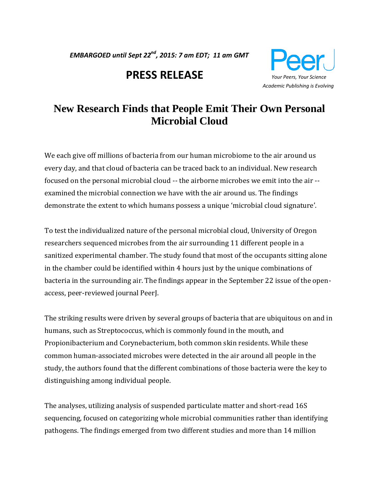*EMBARGOED until Sept 22nd, 2015: 7 am EDT; 11 am GMT* 

# **PRESS RELEASE** *Your Peers, Your Science*



# **New Research Finds that People Emit Their Own Personal Microbial Cloud**

We each give off millions of bacteria from our human microbiome to the air around us every day, and that cloud of bacteria can be traced back to an individual. New research focused on the personal microbial cloud -- the airborne microbes we emit into the air - examined the microbial connection we have with the air around us. The findings demonstrate the extent to which humans possess a unique 'microbial cloud signature'.

To test the individualized nature of the personal microbial cloud, University of Oregon researchers sequenced microbes from the air surrounding 11 different people in a sanitized experimental chamber. The study found that most of the occupants sitting alone in the chamber could be identified within 4 hours just by the unique combinations of bacteria in the surrounding air. The findings appear in the September 22 issue of the openaccess, peer-reviewed journal PeerJ.

The striking results were driven by several groups of bacteria that are ubiquitous on and in humans, such as Streptococcus, which is commonly found in the mouth, and Propionibacterium and Corynebacterium, both common skin residents. While these common human-associated microbes were detected in the air around all people in the study, the authors found that the different combinations of those bacteria were the key to distinguishing among individual people.

The analyses, utilizing analysis of suspended particulate matter and short-read 16S sequencing, focused on categorizing whole microbial communities rather than identifying pathogens. The findings emerged from two different studies and more than 14 million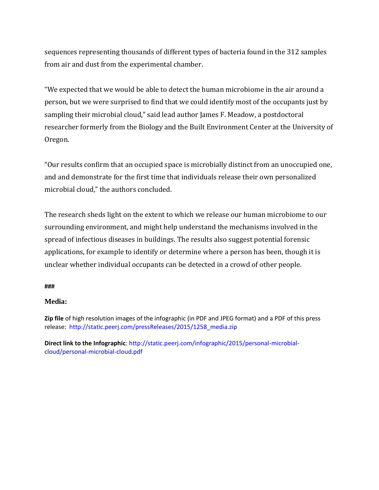sequences representing thousands of different types of bacteria found in the 312 samples from air and dust from the experimental chamber.

"We expected that we would be able to detect the human microbiome in the air around a person, but we were surprised to find that we could identify most of the occupants just by sampling their microbial cloud," said lead author James F. Meadow, a postdoctoral researcher formerly from the Biology and the Built Environment Center at the University of Oregon.

"Our results confirm that an occupied space is microbially distinct from an unoccupied one, and and demonstrate for the first time that individuals release their own personalized microbial cloud," the authors concluded.

The research sheds light on the extent to which we release our human microbiome to our surrounding environment, and might help understand the mechanisms involved in the spread of infectious diseases in buildings. The results also suggest potential forensic applications, for example to identify or determine where a person has been, though it is unclear whether individual occupants can be detected in a crowd of other people.

### **###**

# **Media:**

**Zip file** of high resolution images of the infographic (in PDF and JPEG format) and a PDF of this press release: [http://static.peerj.com/pressReleases/2015/1258\\_media.zip](http://static.peerj.com/pressReleases/2015/1258_media.zip)

**Direct link to the Infographic**[: http://static.peerj.com/infographic/2015/personal-microbial](http://static.peerj.com/infographic/2015/personal-microbial-cloud/personal-microbial-cloud.pdf)[cloud/personal-microbial-cloud.pdf](http://static.peerj.com/infographic/2015/personal-microbial-cloud/personal-microbial-cloud.pdf)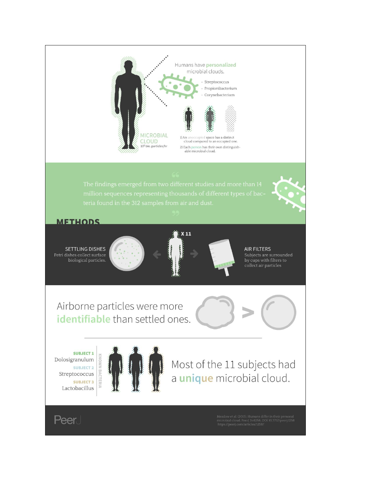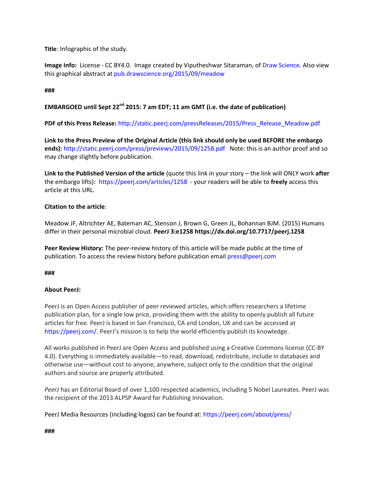**Title**: Infographic of the study.

**Image Info:** License - CC BY4.0. Image created by Viputheshwar Sitaraman, of [Draw Science.](http://drawscience.org/) Also view this graphical abstract at [pub.drawscience.org/2015/09/meadow](http://pub.drawscience.org/2015/09/meadow)

## **###**

# **EMBARGOED until Sept 22nd 2015: 7 am EDT; 11 am GMT (i.e. the date of publication)**

**PDF of this Press Release:** [http://static.peerj.com/pressReleases/2015/Press\\_Release\\_Meadow.pdf](http://static.peerj.com/pressReleases/2015/Press_Release_Meadow.pdf)

**Link to the Press Preview of the Original Article (this link should only be used BEFORE the embargo ends):** <http://static.peerj.com/press/previews/2015/09/1258.pdf> Note: this is an author proof and so may change slightly before publication.

**Link to the Published Version of the article** (quote this link in your story – the link will ONLY work **after** the embargo lifts):<https://peerj.com/articles/1258> - your readers will be able to **freely** access this article at this URL.

### **Citation to the article**:

Meadow JF, Altrichter AE, Bateman AC, Stenson J, Brown G, Green JL, Bohannan BJM. (2015) Humans differ in their personal microbial cloud. **PeerJ 3:e125[8 https://dx.doi.org/10.7717/peerj.1258](https://dx.doi.org/10.7717/peerj.1258)**

**Peer Review History:** The peer-review history of this article will be made public at the time of publication. To access the review history before publication emai[l press@peerj.com](mailto:press@peerj.com)

### **###**

### **About PeerJ:**

PeerJ is an Open Access publisher of peer reviewed articles, which offers researchers a lifetime publication plan, for a single low price, providing them with the ability to openly publish all future articles for free. PeerJ is based in San Francisco, CA and London, UK and can be accessed at <https://peerj.com/>. PeerJ's mission is to help the world efficiently publish its knowledge.

All works published in PeerJ are Open Access and published using a Creative Commons license (CC-BY 4.0). Everything is immediately available—to read, download, redistribute, include in databases and otherwise use—without cost to anyone, anywhere, subject only to the condition that the original authors and source are properly attributed.

*PeerJ* has an Editorial Board of over 1,100 respected academics, including 5 Nobel Laureates. PeerJ was the recipient of the 2013 ALPSP Award for Publishing Innovation.

PeerJ Media Resources (including logos) can be found at:<https://peerj.com/about/press/>

#### **###**